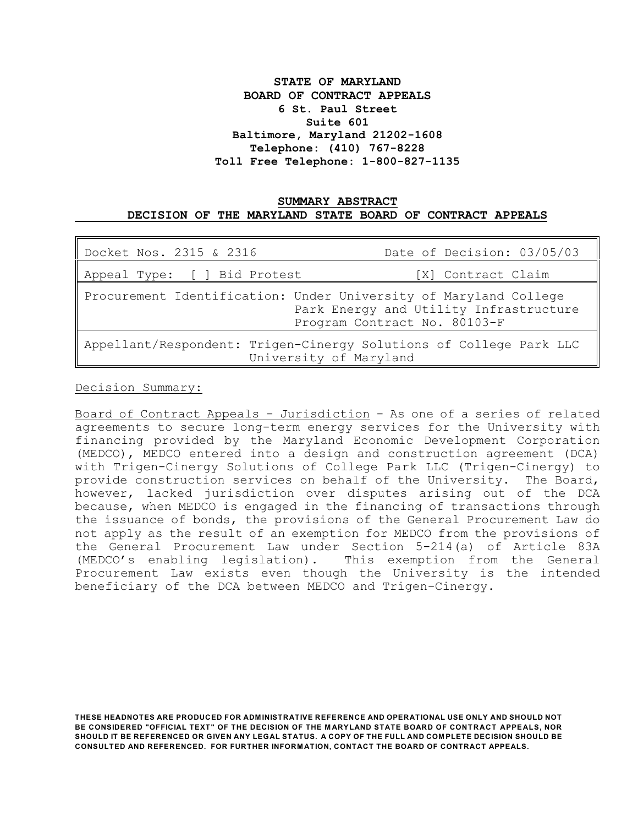# **STATE OF MARYLAND BOARD OF CONTRACT APPEALS 6 St. Paul Street Suite 601 Baltimore, Maryland 21202-1608 Telephone: (410) 767-8228 Toll Free Telephone: 1-800-827-1135**

### **SUMMARY ABSTRACT DECISION OF THE MARYLAND STATE BOARD OF CONTRACT APPEALS**

| Docket Nos. 2315 & 2316                                                                                                                    | Date of Decision: 03/05/03 |
|--------------------------------------------------------------------------------------------------------------------------------------------|----------------------------|
| Appeal Type: [ ] Bid Protest<br>[X] Contract Claim                                                                                         |                            |
| Procurement Identification: Under University of Maryland College<br>Park Energy and Utility Infrastructure<br>Program Contract No. 80103-F |                            |
| Appellant/Respondent: Trigen-Cinergy Solutions of College Park LLC<br>University of Maryland                                               |                            |

Decision Summary:

Board of Contract Appeals - Jurisdiction - As one of a series of related agreements to secure long-term energy services for the University with financing provided by the Maryland Economic Development Corporation (MEDCO), MEDCO entered into a design and construction agreement (DCA) with Trigen-Cinergy Solutions of College Park LLC (Trigen-Cinergy) to provide construction services on behalf of the University. The Board, however, lacked jurisdiction over disputes arising out of the DCA because, when MEDCO is engaged in the financing of transactions through the issuance of bonds, the provisions of the General Procurement Law do not apply as the result of an exemption for MEDCO from the provisions of the General Procurement Law under Section 5-214(a) of Article 83A (MEDCO's enabling legislation). This exemption from the General Procurement Law exists even though the University is the intended beneficiary of the DCA between MEDCO and Trigen-Cinergy.

**THESE HEADNOTES ARE PRODUCED FOR ADM INISTRATIVE REFERENCE AND OPERATIONAL USE ONLY AND SHOULD NOT** BE CONSIDERED "OFFICIAL TEXT" OF THE DECISION OF THE MARYLAND STATE BOARD OF CONTRACT APPEALS, NOR **SHOULD IT BE REFERENCED OR GIVEN ANY LEGAL STATUS. A COPY OF THE FULL AND COM PLETE DECISION SHOULD BE CONSULTED AND REFERENCED. FOR FURTHER INFORM ATION, CONTACT THE BOARD OF CONTRACT APPEALS.**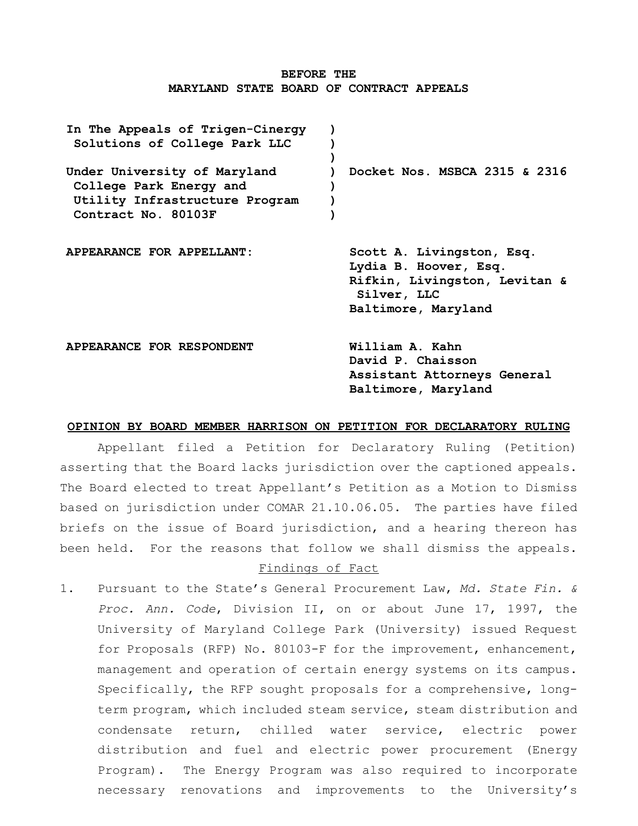### **BEFORE THE MARYLAND STATE BOARD OF CONTRACT APPEALS**

| In The Appeals of Trigen-Cinergy<br>Solutions of College Park LLC                                                |                                                                                                                           |
|------------------------------------------------------------------------------------------------------------------|---------------------------------------------------------------------------------------------------------------------------|
| Under University of Maryland<br>College Park Energy and<br>Utility Infrastructure Program<br>Contract No. 80103F | Docket Nos. MSBCA 2315 & 2316                                                                                             |
| APPEARANCE FOR APPELLANT:                                                                                        | Scott A. Livingston, Esq.<br>Lydia B. Hoover, Esq.<br>Rifkin, Livingston, Levitan &<br>Silver, LLC<br>Baltimore, Maryland |
| APPEARANCE FOR RESPONDENT                                                                                        | William A. Kahn<br>David P. Chaisson<br>Assistant Attorneys General<br>Baltimore, Maryland                                |

#### **OPINION BY BOARD MEMBER HARRISON ON PETITION FOR DECLARATORY RULING**

Appellant filed a Petition for Declaratory Ruling (Petition) asserting that the Board lacks jurisdiction over the captioned appeals. The Board elected to treat Appellant's Petition as a Motion to Dismiss based on jurisdiction under COMAR 21.10.06.05. The parties have filed briefs on the issue of Board jurisdiction, and a hearing thereon has been held. For the reasons that follow we shall dismiss the appeals.

# Findings of Fact

1. Pursuant to the State's General Procurement Law, *Md. State Fin. & Proc. Ann. Code*, Division II, on or about June 17, 1997, the University of Maryland College Park (University) issued Request for Proposals (RFP) No. 80103-F for the improvement, enhancement, management and operation of certain energy systems on its campus. Specifically, the RFP sought proposals for a comprehensive, longterm program, which included steam service, steam distribution and condensate return, chilled water service, electric power distribution and fuel and electric power procurement (Energy Program). The Energy Program was also required to incorporate necessary renovations and improvements to the University's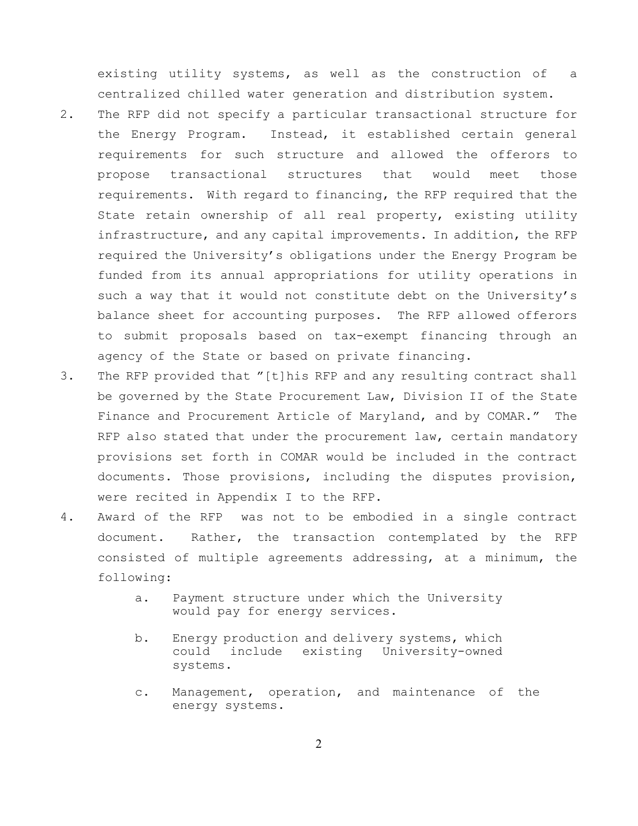existing utility systems, as well as the construction of a centralized chilled water generation and distribution system.

- 2. The RFP did not specify a particular transactional structure for the Energy Program. Instead, it established certain general requirements for such structure and allowed the offerors to propose transactional structures that would meet those requirements. With regard to financing, the RFP required that the State retain ownership of all real property, existing utility infrastructure, and any capital improvements. In addition, the RFP required the University's obligations under the Energy Program be funded from its annual appropriations for utility operations in such a way that it would not constitute debt on the University's balance sheet for accounting purposes. The RFP allowed offerors to submit proposals based on tax-exempt financing through an agency of the State or based on private financing.
- 3. The RFP provided that "[t]his RFP and any resulting contract shall be governed by the State Procurement Law, Division II of the State Finance and Procurement Article of Maryland, and by COMAR." The RFP also stated that under the procurement law, certain mandatory provisions set forth in COMAR would be included in the contract documents. Those provisions, including the disputes provision, were recited in Appendix I to the RFP.
- 4. Award of the RFP was not to be embodied in a single contract document. Rather, the transaction contemplated by the RFP consisted of multiple agreements addressing, at a minimum, the following:
	- a. Payment structure under which the University would pay for energy services.
	- b. Energy production and delivery systems, which could include existing University-owned systems.
	- c. Management, operation, and maintenance of the energy systems.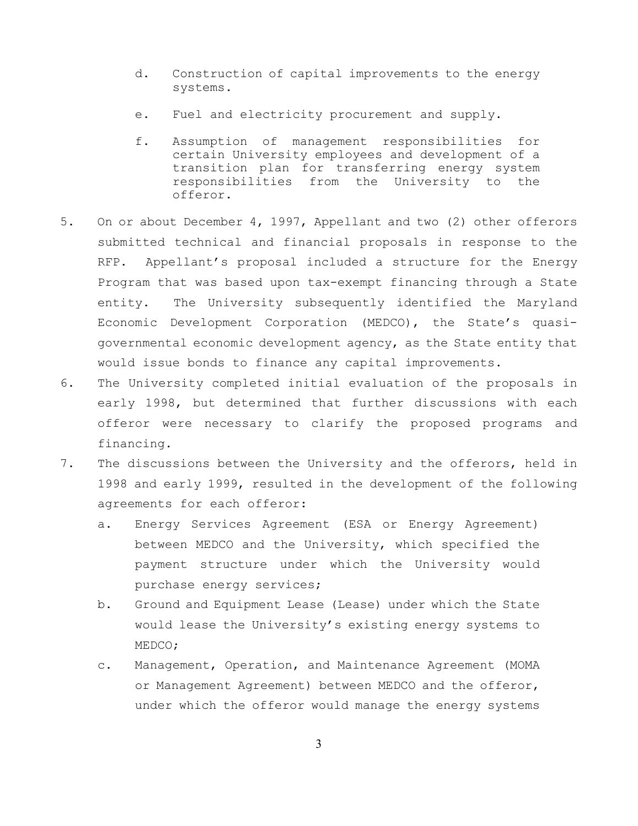- d. Construction of capital improvements to the energy systems.
- e. Fuel and electricity procurement and supply.
- f. Assumption of management responsibilities for certain University employees and development of a transition plan for transferring energy system responsibilities from the University to the offeror.
- 5. On or about December 4, 1997, Appellant and two (2) other offerors submitted technical and financial proposals in response to the RFP. Appellant's proposal included a structure for the Energy Program that was based upon tax-exempt financing through a State entity. The University subsequently identified the Maryland Economic Development Corporation (MEDCO), the State's quasigovernmental economic development agency, as the State entity that would issue bonds to finance any capital improvements.
- 6. The University completed initial evaluation of the proposals in early 1998, but determined that further discussions with each offeror were necessary to clarify the proposed programs and financing.
- 7. The discussions between the University and the offerors, held in 1998 and early 1999, resulted in the development of the following agreements for each offeror:
	- a. Energy Services Agreement (ESA or Energy Agreement) between MEDCO and the University, which specified the payment structure under which the University would purchase energy services;
	- b. Ground and Equipment Lease (Lease) under which the State would lease the University's existing energy systems to MEDCO;
	- c. Management, Operation, and Maintenance Agreement (MOMA or Management Agreement) between MEDCO and the offeror, under which the offeror would manage the energy systems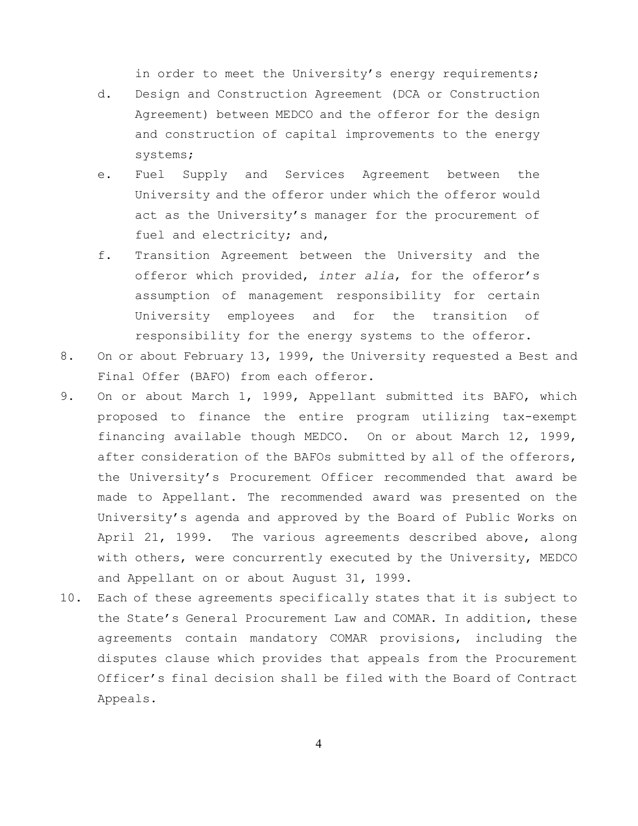in order to meet the University's energy requirements;

- d. Design and Construction Agreement (DCA or Construction Agreement) between MEDCO and the offeror for the design and construction of capital improvements to the energy systems;
- e. Fuel Supply and Services Agreement between the University and the offeror under which the offeror would act as the University's manager for the procurement of fuel and electricity; and,
- f. Transition Agreement between the University and the offeror which provided, *inter alia*, for the offeror's assumption of management responsibility for certain University employees and for the transition of responsibility for the energy systems to the offeror.
- 8. On or about February 13, 1999, the University requested a Best and Final Offer (BAFO) from each offeror.
- 9. On or about March 1, 1999, Appellant submitted its BAFO, which proposed to finance the entire program utilizing tax-exempt financing available though MEDCO. On or about March 12, 1999, after consideration of the BAFOs submitted by all of the offerors, the University's Procurement Officer recommended that award be made to Appellant. The recommended award was presented on the University's agenda and approved by the Board of Public Works on April 21, 1999. The various agreements described above, along with others, were concurrently executed by the University, MEDCO and Appellant on or about August 31, 1999.
- 10. Each of these agreements specifically states that it is subject to the State's General Procurement Law and COMAR. In addition, these agreements contain mandatory COMAR provisions, including the disputes clause which provides that appeals from the Procurement Officer's final decision shall be filed with the Board of Contract Appeals.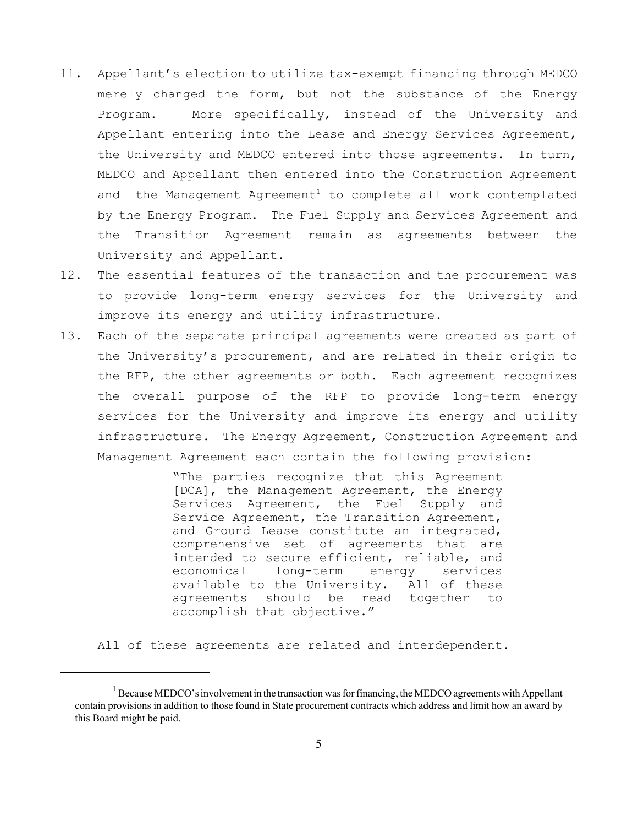- 11. Appellant's election to utilize tax-exempt financing through MEDCO merely changed the form, but not the substance of the Energy Program. More specifically, instead of the University and Appellant entering into the Lease and Energy Services Agreement, the University and MEDCO entered into those agreements. In turn, MEDCO and Appellant then entered into the Construction Agreement and the Management  $A$ greement<sup>1</sup> to complete all work contemplated by the Energy Program. The Fuel Supply and Services Agreement and the Transition Agreement remain as agreements between the University and Appellant.
- 12. The essential features of the transaction and the procurement was to provide long-term energy services for the University and improve its energy and utility infrastructure.
- 13. Each of the separate principal agreements were created as part of the University's procurement, and are related in their origin to the RFP, the other agreements or both. Each agreement recognizes the overall purpose of the RFP to provide long-term energy services for the University and improve its energy and utility infrastructure. The Energy Agreement, Construction Agreement and Management Agreement each contain the following provision:

"The parties recognize that this Agreement [DCA], the Management Agreement, the Energy Services Agreement, the Fuel Supply and Service Agreement, the Transition Agreement, and Ground Lease constitute an integrated, comprehensive set of agreements that are intended to secure efficient, reliable, and economical long-term energy services available to the University. All of these agreements should be read together to accomplish that objective."

All of these agreements are related and interdependent.

<sup>&</sup>lt;sup>1</sup> Because MEDCO's involvement in the transaction was for financing, the MEDCO agreements with Appellant contain provisions in addition to those found in State procurement contracts which address and limit how an award by this Board might be paid.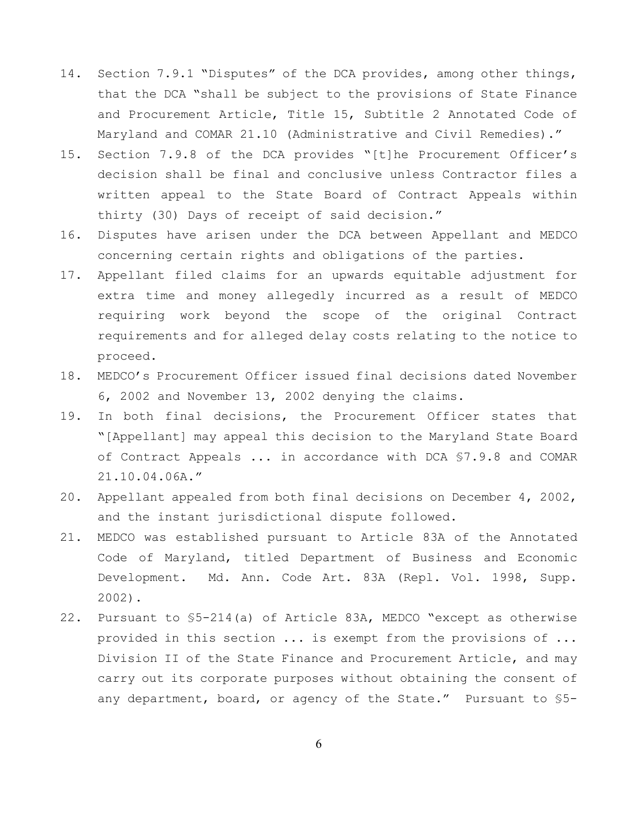- 14. Section 7.9.1 "Disputes" of the DCA provides, among other things, that the DCA "shall be subject to the provisions of State Finance and Procurement Article, Title 15, Subtitle 2 Annotated Code of Maryland and COMAR 21.10 (Administrative and Civil Remedies)."
- 15. Section 7.9.8 of the DCA provides "[t]he Procurement Officer's decision shall be final and conclusive unless Contractor files a written appeal to the State Board of Contract Appeals within thirty (30) Days of receipt of said decision."
- 16. Disputes have arisen under the DCA between Appellant and MEDCO concerning certain rights and obligations of the parties.
- 17. Appellant filed claims for an upwards equitable adjustment for extra time and money allegedly incurred as a result of MEDCO requiring work beyond the scope of the original Contract requirements and for alleged delay costs relating to the notice to proceed.
- 18. MEDCO's Procurement Officer issued final decisions dated November 6, 2002 and November 13, 2002 denying the claims.
- 19. In both final decisions, the Procurement Officer states that "[Appellant] may appeal this decision to the Maryland State Board of Contract Appeals ... in accordance with DCA §7.9.8 and COMAR 21.10.04.06A."
- 20. Appellant appealed from both final decisions on December 4, 2002, and the instant jurisdictional dispute followed.
- 21. MEDCO was established pursuant to Article 83A of the Annotated Code of Maryland, titled Department of Business and Economic Development. Md. Ann. Code Art. 83A (Repl. Vol. 1998, Supp. 2002).
- 22. Pursuant to §5-214(a) of Article 83A, MEDCO "except as otherwise provided in this section ... is exempt from the provisions of ... Division II of the State Finance and Procurement Article, and may carry out its corporate purposes without obtaining the consent of any department, board, or agency of the State." Pursuant to §5-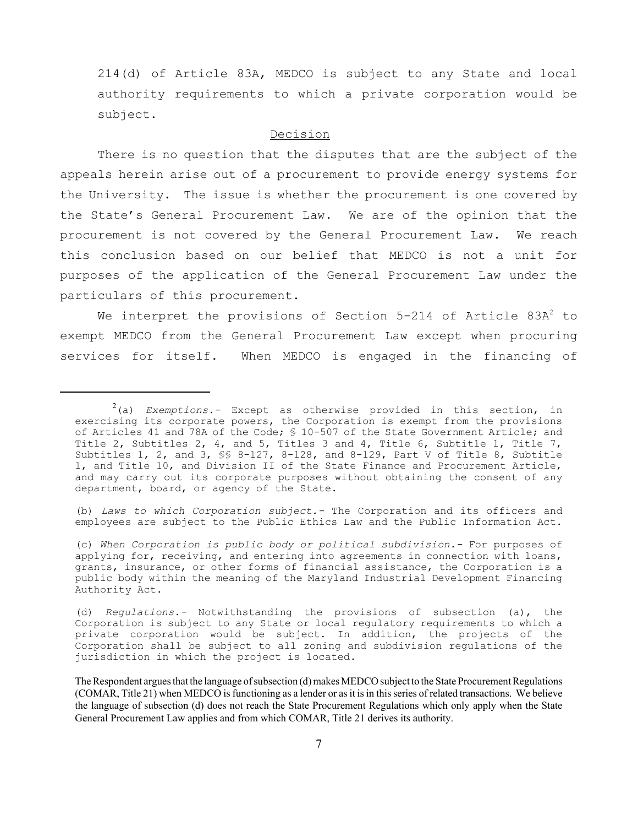214(d) of Article 83A, MEDCO is subject to any State and local authority requirements to which a private corporation would be subject.

### Decision

There is no question that the disputes that are the subject of the appeals herein arise out of a procurement to provide energy systems for the University. The issue is whether the procurement is one covered by the State's General Procurement Law. We are of the opinion that the procurement is not covered by the General Procurement Law. We reach this conclusion based on our belief that MEDCO is not a unit for purposes of the application of the General Procurement Law under the particulars of this procurement.

We interpret the provisions of Section  $5-214$  of Article 83A<sup>2</sup> to exempt MEDCO from the General Procurement Law except when procuring services for itself. When MEDCO is engaged in the financing of

(b) *Laws to which Corporation subject.-* The Corporation and its officers and employees are subject to the Public Ethics Law and the Public Information Act.

(c) *When Corporation is public body or political subdivision.-* For purposes of applying for, receiving, and entering into agreements in connection with loans, grants, insurance, or other forms of financial assistance, the Corporation is a public body within the meaning of the Maryland Industrial Development Financing Authority Act.

(d) *Regulations.-* Notwithstanding the provisions of subsection (a), the Corporation is subject to any State or local regulatory requirements to which a private corporation would be subject. In addition, the projects of the Corporation shall be subject to all zoning and subdivision regulations of the jurisdiction in which the project is located.

<sup>2</sup> (a) *Exemptions.-* Except as otherwise provided in this section, in exercising its corporate powers, the Corporation is exempt from the provisions of Articles 41 and 78A of the Code; § 10-507 of the State Government Article; and Title 2, Subtitles 2, 4, and 5, Titles 3 and 4, Title 6, Subtitle 1, Title 7, Subtitles 1, 2, and 3,  $\S$  8-127, 8-128, and 8-129, Part V of Title 8, Subtitle 1, and Title 10, and Division II of the State Finance and Procurement Article, and may carry out its corporate purposes without obtaining the consent of any department, board, or agency of the State.

The Respondent argues that the language of subsection (d) makes MEDCO subject to the State Procurement Regulations (COMAR, Title 21) when MEDCO is functioning as a lender or as it is in this series of related transactions. We believe the language of subsection (d) does not reach the State Procurement Regulations which only apply when the State General Procurement Law applies and from which COMAR, Title 21 derives its authority.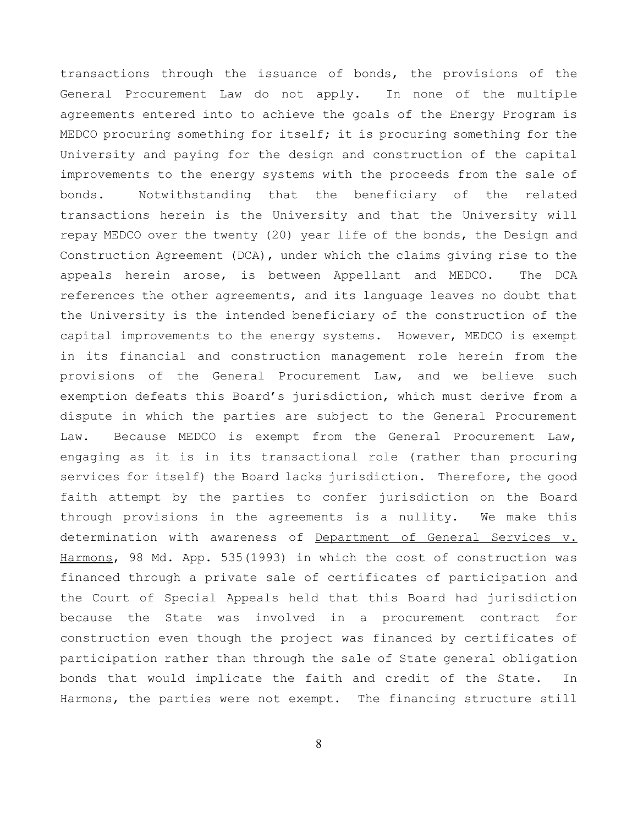transactions through the issuance of bonds, the provisions of the General Procurement Law do not apply. In none of the multiple agreements entered into to achieve the goals of the Energy Program is MEDCO procuring something for itself; it is procuring something for the University and paying for the design and construction of the capital improvements to the energy systems with the proceeds from the sale of bonds. Notwithstanding that the beneficiary of the related transactions herein is the University and that the University will repay MEDCO over the twenty (20) year life of the bonds, the Design and Construction Agreement (DCA), under which the claims giving rise to the appeals herein arose, is between Appellant and MEDCO. The DCA references the other agreements, and its language leaves no doubt that the University is the intended beneficiary of the construction of the capital improvements to the energy systems. However, MEDCO is exempt in its financial and construction management role herein from the provisions of the General Procurement Law, and we believe such exemption defeats this Board's jurisdiction, which must derive from a dispute in which the parties are subject to the General Procurement Law. Because MEDCO is exempt from the General Procurement Law, engaging as it is in its transactional role (rather than procuring services for itself) the Board lacks jurisdiction. Therefore, the good faith attempt by the parties to confer jurisdiction on the Board through provisions in the agreements is a nullity. We make this determination with awareness of Department of General Services v. Harmons, 98 Md. App. 535(1993) in which the cost of construction was financed through a private sale of certificates of participation and the Court of Special Appeals held that this Board had jurisdiction because the State was involved in a procurement contract for construction even though the project was financed by certificates of participation rather than through the sale of State general obligation bonds that would implicate the faith and credit of the State. In Harmons, the parties were not exempt. The financing structure still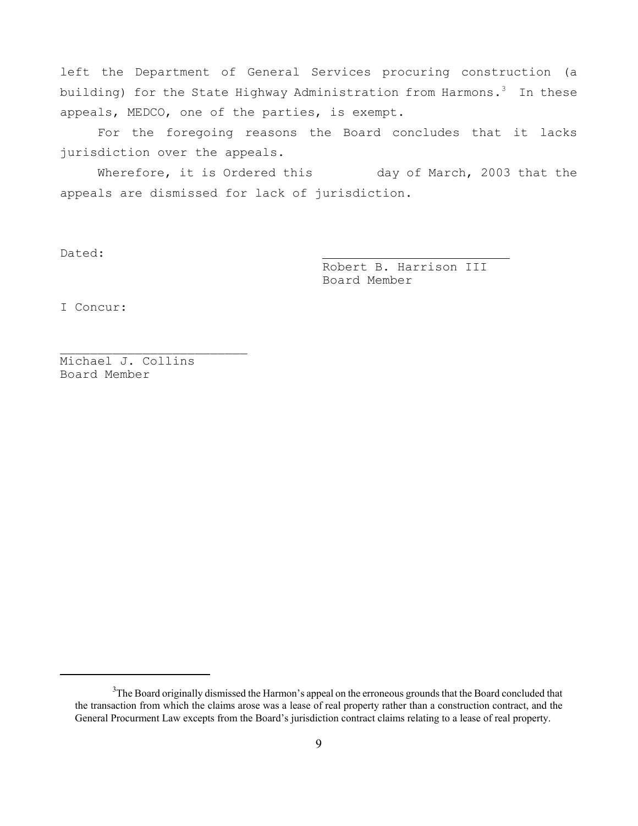left the Department of General Services procuring construction (a building) for the State Highway Administration from Harmons.<sup>3</sup> In these appeals, MEDCO, one of the parties, is exempt.

For the foregoing reasons the Board concludes that it lacks jurisdiction over the appeals.

Wherefore, it is Ordered this day of March, 2003 that the appeals are dismissed for lack of jurisdiction.

Dated:

Robert B. Harrison III Board Member

I Concur:

Michael J. Collins Board Member

\_\_\_\_\_\_\_\_\_\_\_\_\_\_\_\_\_\_\_\_\_\_\_\_\_

 $3$ The Board originally dismissed the Harmon's appeal on the erroneous grounds that the Board concluded that the transaction from which the claims arose was a lease of real property rather than a construction contract, and the General Procurment Law excepts from the Board's jurisdiction contract claims relating to a lease of real property.